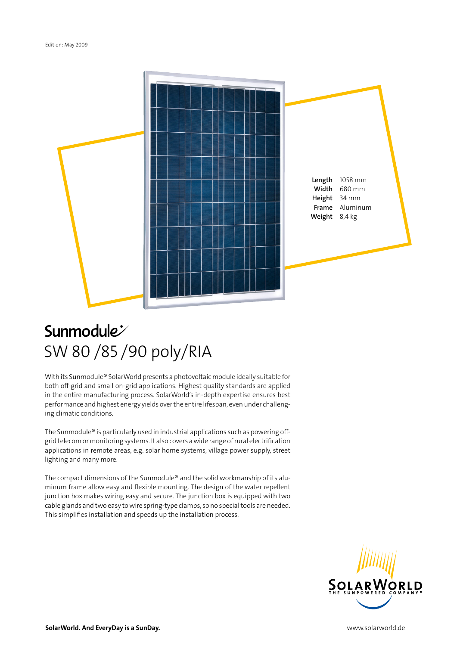

## **Sunmodule** SW 80 /85 /90 poly/RIA

With its Sunmodule® SolarWorld presents a photovoltaic module ideally suitable for both off-grid and small on-grid applications. Highest quality standards are applied in the entire manufacturing process. SolarWorld's in-depth expertise ensures best performance and highest energy yields over the entire lifespan, even under challenging climatic conditions.

The Sunmodule® is particularly used in industrial applications such as powering offgrid telecom or monitoring systems. It also covers a wide range of rural electrification applications in remote areas, e.g. solar home systems, village power supply, street lighting and many more.

The compact dimensions of the Sunmodule® and the solid workmanship of its aluminum frame allow easy and flexible mounting. The design of the water repellent junction box makes wiring easy and secure. The junction box is equipped with two cable glands and two easy to wire spring-type clamps, so no special tools are needed. This simplifies installation and speeds up the installation process.